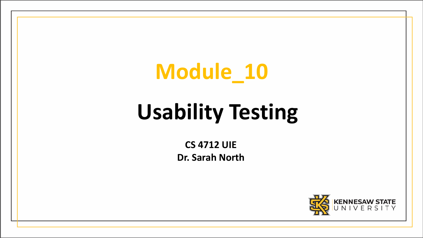### **Module\_10**

## **Usability Testing**

**CS 4712 UIE Dr. Sarah North**

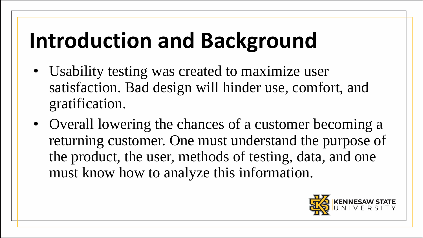## **Introduction and Background**

- Usability testing was created to maximize user satisfaction. Bad design will hinder use, comfort, and gratification.
- Overall lowering the chances of a customer becoming a returning customer. One must understand the purpose of the product, the user, methods of testing, data, and one must know how to analyze this information.

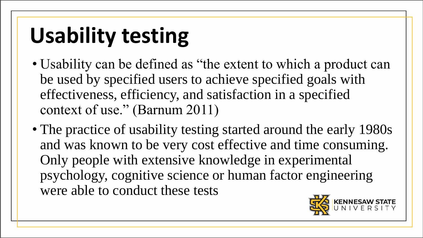# **Usability testing**

- Usability can be defined as "the extent to which a product can be used by specified users to achieve specified goals with effectiveness, efficiency, and satisfaction in a specified context of use." (Barnum 2011)
- The practice of usability testing started around the early 1980s and was known to be very cost effective and time consuming. Only people with extensive knowledge in experimental psychology, cognitive science or human factor engineering were able to conduct these tests

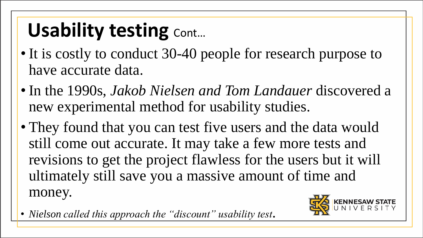## Usability testing Cont...

- It is costly to conduct 30-40 people for research purpose to have accurate data.
- In the 1990s, *Jakob Nielsen and Tom Landauer* discovered a new experimental method for usability studies.
- They found that you can test five users and the data would still come out accurate. It may take a few more tests and revisions to get the project flawless for the users but it will ultimately still save you a massive amount of time and money.

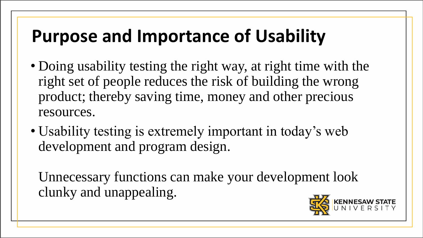#### **Purpose and Importance of Usability**

- Doing usability testing the right way, at right time with the right set of people reduces the risk of building the wrong product; thereby saving time, money and other precious resources.
- Usability testing is extremely important in today's web development and program design.

Unnecessary functions can make your development look clunky and unappealing.

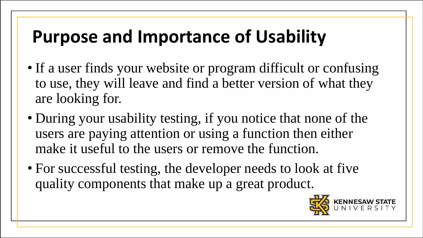#### **Purpose and Importance of Usability**

- If a user finds your website or program difficult or confusing to use, they will leave and find a better version of what they are looking for.
- During your usability testing, if you notice that none of the users are paying attention or using a function then either make it useful to the users or remove the function.
- For successful testing, the developer needs to look at five quality components that make up a great product.

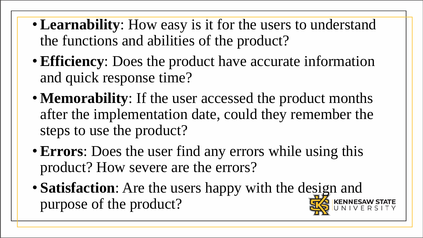- **Learnability**: How easy is it for the users to understand the functions and abilities of the product?
- **Efficiency**: Does the product have accurate information and quick response time?
- **Memorability**: If the user accessed the product months after the implementation date, could they remember the steps to use the product?
- **Errors**: Does the user find any errors while using this product? How severe are the errors?
- **Satisfaction**: Are the users happy with the design and purpose of the product?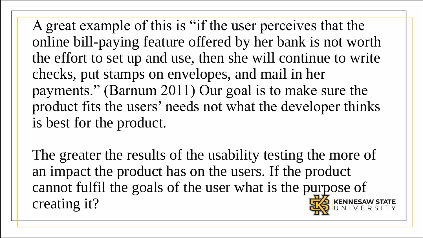A great example of this is "if the user perceives that the online bill-paying feature offered by her bank is not worth the effort to set up and use, then she will continue to write checks, put stamps on envelopes, and mail in her payments." (Barnum 2011) Our goal is to make sure the product fits the users' needs not what the developer thinks is best for the product.

The greater the results of the usability testing the more of an impact the product has on the users. If the product cannot fulfil the goals of the user what is the purpose of creating it?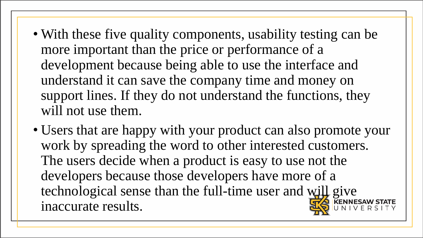- With these five quality components, usability testing can be more important than the price or performance of a development because being able to use the interface and understand it can save the company time and money on support lines. If they do not understand the functions, they will not use them.
- Users that are happy with your product can also promote your work by spreading the word to other interested customers. The users decide when a product is easy to use not the developers because those developers have more of a technological sense than the full-time user and will give inaccurate results.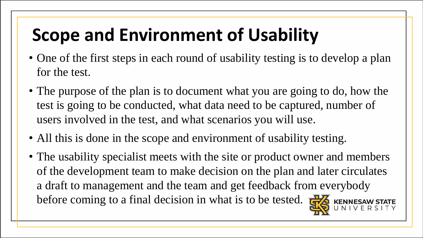#### **Scope and Environment of Usability**

- One of the first steps in each round of usability testing is to develop a plan for the test.
- The purpose of the plan is to document what you are going to do, how the test is going to be conducted, what data need to be captured, number of users involved in the test, and what scenarios you will use.
- All this is done in the scope and environment of usability testing.
- The usability specialist meets with the site or product owner and members of the development team to make decision on the plan and later circulates a draft to management and the team and get feedback from everybody before coming to a final decision in what is to be tested.  $\frac{1}{\sqrt{2}}$  KENNESAW STATE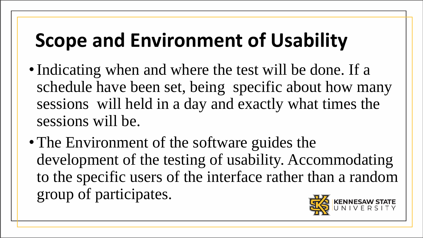### **Scope and Environment of Usability**

- Indicating when and where the test will be done. If a schedule have been set, being specific about how many sessions will held in a day and exactly what times the sessions will be.
- The Environment of the software guides the development of the testing of usability. Accommodating to the specific users of the interface rather than a random group of participates.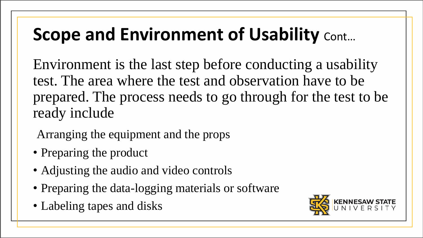#### **Scope and Environment of Usability Cont...**

Environment is the last step before conducting a usability test. The area where the test and observation have to be prepared. The process needs to go through for the test to be ready include

Arranging the equipment and the props

- Preparing the product
- Adjusting the audio and video controls
- Preparing the data-logging materials or software
- Labeling tapes and disks

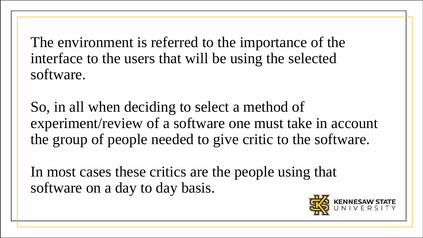The environment is referred to the importance of the interface to the users that will be using the selected software.

So, in all when deciding to select a method of experiment/review of a software one must take in account the group of people needed to give critic to the software.

In most cases these critics are the people using that software on a day to day basis.

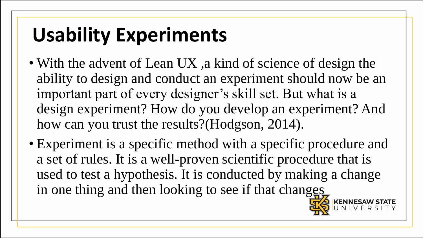### **Usability Experiments**

- With the advent of Lean UX, a kind of science of design the ability to design and conduct an experiment should now be an important part of every designer's skill set. But what is a design experiment? How do you develop an experiment? And how can you trust the results?(Hodgson, 2014).
- Experiment is a specific method with a specific procedure and a set of rules. It is a well-proven scientific procedure that is used to test a hypothesis. It is conducted by making a change in one thing and then looking to see if that changes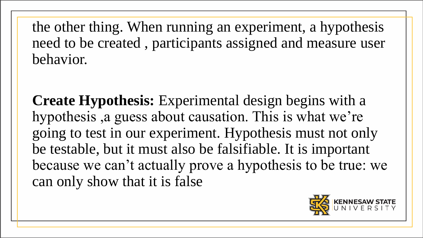the other thing. When running an experiment, a hypothesis need to be created , participants assigned and measure user behavior.

**Create Hypothesis:** Experimental design begins with a hypothesis ,a guess about causation. This is what we're going to test in our experiment. Hypothesis must not only be testable, but it must also be falsifiable. It is important because we can't actually prove a hypothesis to be true: we can only show that it is false

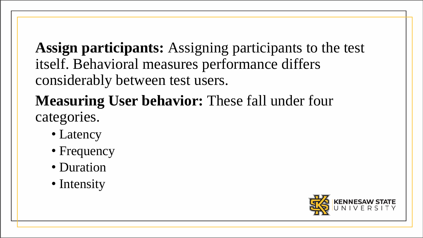**Assign participants:** Assigning participants to the test itself. Behavioral measures performance differs considerably between test users.

#### **Measuring User behavior:** These fall under four categories.

- Latency
- Frequency
- Duration
- Intensity

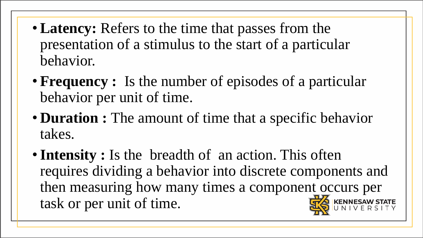- **Latency:** Refers to the time that passes from the presentation of a stimulus to the start of a particular behavior.
- **Frequency :** Is the number of episodes of a particular behavior per unit of time.
- **Duration :** The amount of time that a specific behavior takes.
- **Intensity :** Is the breadth of an action. This often requires dividing a behavior into discrete components and then measuring how many times a component occurs per task or per unit of time.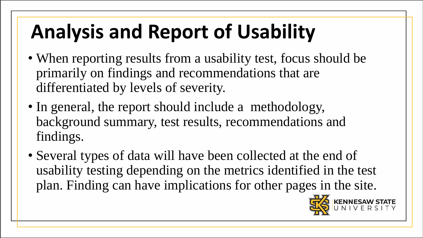## **Analysis and Report of Usability**

- When reporting results from a usability test, focus should be primarily on findings and recommendations that are differentiated by levels of severity.
- In general, the report should include a methodology, background summary, test results, recommendations and findings.
- Several types of data will have been collected at the end of usability testing depending on the metrics identified in the test plan. Finding can have implications for other pages in the site.

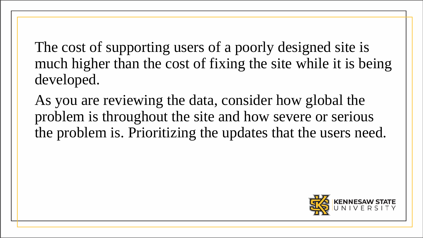The cost of supporting users of a poorly designed site is much higher than the cost of fixing the site while it is being developed.

As you are reviewing the data, consider how global the problem is throughout the site and how severe or serious the problem is. Prioritizing the updates that the users need.

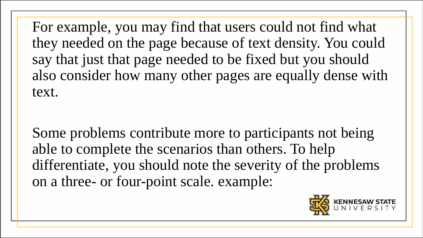For example, you may find that users could not find what they needed on the page because of text density. You could say that just that page needed to be fixed but you should also consider how many other pages are equally dense with text.

Some problems contribute more to participants not being able to complete the scenarios than others. To help differentiate, you should note the severity of the problems on a three- or four-point scale. example:

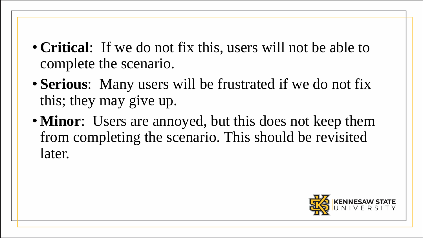- **Critical**: If we do not fix this, users will not be able to complete the scenario.
- **Serious**: Many users will be frustrated if we do not fix this; they may give up.
- **Minor**: Users are annoyed, but this does not keep them from completing the scenario. This should be revisited later.

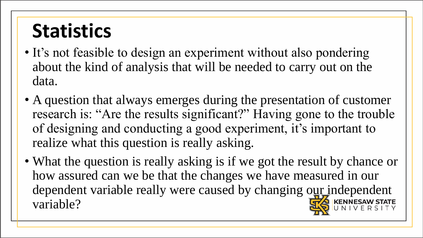### **Statistics**

- It's not feasible to design an experiment without also pondering about the kind of analysis that will be needed to carry out on the data.
- A question that always emerges during the presentation of customer research is: "Are the results significant?" Having gone to the trouble of designing and conducting a good experiment, it's important to realize what this question is really asking.
- What the question is really asking is if we got the result by chance or how assured can we be that the changes we have measured in our dependent variable really were caused by changing our independent variable?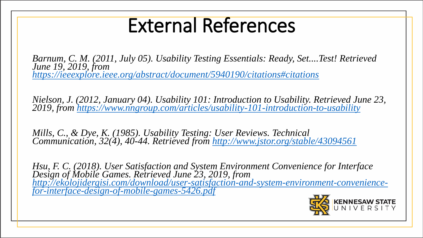#### External References

*Barnum, C. M. (2011, July 05). Usability Testing Essentials: Ready, Set....Test! Retrieved June 19, 2019, from <https://ieeexplore.ieee.org/abstract/document/5940190/citations#citations>*

*Nielson, J. (2012, January 04). Usability 101: Introduction to Usability. Retrieved June 23, 2019, from<https://www.nngroup.com/articles/usability-101-introduction-to-usability>*

*Mills, C., & Dye, K. (1985). Usability Testing: User Reviews. Technical Communication, 32(4), 40-44. Retrieved from <http://www.jstor.org/stable/43094561>*

*Hsu, F. C. (2018). User Satisfaction and System Environment Convenience for Interface Design of Mobile Games. Retrieved June 23, 2019, from [http://ekolojidergisi.com/download/user-satisfaction-and-system-environment-convenience](http://ekolojidergisi.com/download/user-satisfaction-and-system-environment-convenience-for-interface-design-of-mobile-games-5426.pdf)for-interface-design-of-mobile-games-5426.pdf*

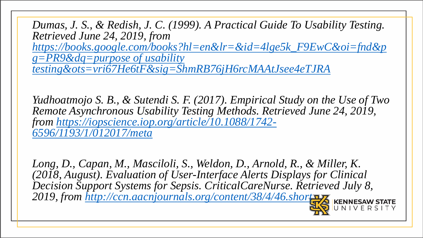*Dumas, J. S., & Redish, J. C. (1999). A Practical Guide To Usability Testing. Retrieved June 24, 2019, from [https://books.google.com/books?hl=en&lr=&id=4lge5k\\_F9EwC&oi=fnd&p](https://books.google.com/books?hl=en&lr=&id=4lge5k_F9EwC&oi=fnd&pg=PR9&dq=purpose of usability testing&ots=vri67He6tF&sig=ShmRB76jH6rcMAAtJsee4eTJRA) g=PR9&dq=purpose of usability testing&ots=vri67He6tF&sig=ShmRB76jH6rcMAAtJsee4eTJRA*

*Yudhoatmojo S. B., & Sutendi S. F. (2017). Empirical Study on the Use of Two Remote Asynchronous Usability Testing Methods. Retrieved June 24, 2019, [from https://iopscience.iop.org/article/10.1088/1742-](https://iopscience.iop.org/article/10.1088/1742-6596/1193/1/012017/meta) 6596/1193/1/012017/meta*

Long, D., Capan, M., Masciloli, S., Weldon, D., Arnold, R., & Miller, K. *(2018, August). Evaluation of User-Interface Alerts Displays for Clinical Decision Support Systems for Sepsis. CriticalCareNurse. Retrieved July 8, 2019, from <http://ccn.aacnjournals.org/content/38/4/46.short>*

VERSITY